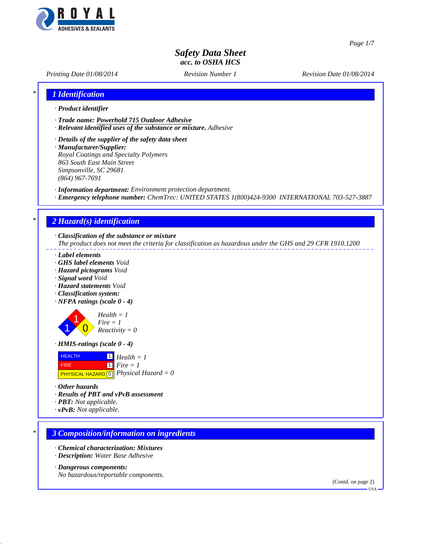

*Page 1/7*

# *Safety Data Sheet acc. to OSHA HCS*

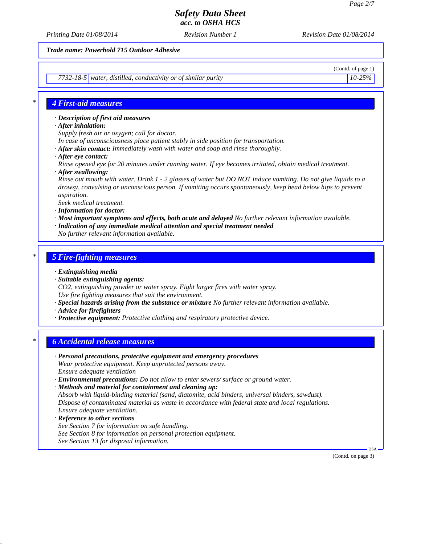*Printing Date 01/08/2014 Revision Number 1 Revision Date 01/08/2014*

*Trade name: Powerhold 715 Outdoor Adhesive*

*7732-18-5 water, distilled, conductivity or of similar purity 10-25%*

(Contd. of page 1)

## *\* 4 First-aid measures*

*· Description of first aid measures*

- *· After inhalation:*
- *Supply fresh air or oxygen; call for doctor.*
- *In case of unconsciousness place patient stably in side position for transportation.*
- *· After skin contact: Immediately wash with water and soap and rinse thoroughly.*
- *· After eye contact:*
- *Rinse opened eye for 20 minutes under running water. If eye becomes irritated, obtain medical treatment.*
- *· After swallowing:*
- *Rinse out mouth with water. Drink 1 2 glasses of water but DO NOT induce vomiting. Do not give liquids to a drowsy, convulsing or unconscious person. If vomiting occurs spontaneously, keep head below hips to prevent aspiration.*

*Seek medical treatment.*

- *· Information for doctor:*
- *· Most important symptoms and effects, both acute and delayed No further relevant information available.*
- *· Indication of any immediate medical attention and special treatment needed*
- *No further relevant information available.*

## *\* 5 Fire-fighting measures*

- *· Extinguishing media*
- *· Suitable extinguishing agents:*
- *CO2, extinguishing powder or water spray. Fight larger fires with water spray. Use fire fighting measures that suit the environment.*
- *· Special hazards arising from the substance or mixture No further relevant information available.*
- *· Advice for firefighters*
- *· Protective equipment: Protective clothing and respiratory protective device.*

## *\* 6 Accidental release measures*

- *· Personal precautions, protective equipment and emergency procedures Wear protective equipment. Keep unprotected persons away. Ensure adequate ventilation*
- *· Environmental precautions: Do not allow to enter sewers/ surface or ground water.*
- *· Methods and material for containment and cleaning up: Absorb with liquid-binding material (sand, diatomite, acid binders, universal binders, sawdust). Dispose of contaminated material as waste in accordance with federal state and local regulations. Ensure adequate ventilation.*
- *· Reference to other sections*
- *See Section 7 for information on safe handling.*
- *See Section 8 for information on personal protection equipment.*
- *See Section 13 for disposal information.*

 USA (Contd. on page 3)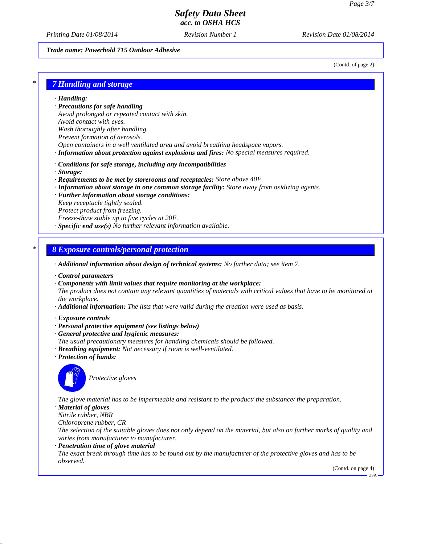*Printing Date 01/08/2014 Revision Number 1 Revision Date 01/08/2014*

## *Trade name: Powerhold 715 Outdoor Adhesive*

(Contd. of page 2)

## *\* 7 Handling and storage*

*· Handling:*

*· Precautions for safe handling*

*Avoid prolonged or repeated contact with skin.*

*Avoid contact with eyes.*

- *Wash thoroughly after handling.*
- *Prevent formation of aerosols.*
- *Open containers in a well ventilated area and avoid breathing headspace vapors.*
- *· Information about protection against explosions and fires: No special measures required.*
- *· Conditions for safe storage, including any incompatibilities*
- *· Storage:*
- *· Requirements to be met by storerooms and receptacles: Store above 40F.*
- *· Information about storage in one common storage facility: Store away from oxidizing agents.*
- *· Further information about storage conditions: Keep receptacle tightly sealed. Protect product from freezing. Freeze-thaw stable up to five cycles at 20F.*
- *· Specific end use(s) No further relevant information available.*

## *\* 8 Exposure controls/personal protection*

- *· Additional information about design of technical systems: No further data; see item 7.*
- *· Control parameters*
- *· Components with limit values that require monitoring at the workplace:*
- *The product does not contain any relevant quantities of materials with critical values that have to be monitored at the workplace.*
- *· Additional information: The lists that were valid during the creation were used as basis.*
- *· Exposure controls*
- *· Personal protective equipment (see listings below)*
- *· General protective and hygienic measures:*
- *The usual precautionary measures for handling chemicals should be followed.*
- *· Breathing equipment: Not necessary if room is well-ventilated.*
- *· Protection of hands:*



*Protective gloves*

*The glove material has to be impermeable and resistant to the product/ the substance/ the preparation. · Material of gloves*

## *Nitrile rubber, NBR*

*Chloroprene rubber, CR*

*The selection of the suitable gloves does not only depend on the material, but also on further marks of quality and varies from manufacturer to manufacturer.*

*· Penetration time of glove material*

*The exact break through time has to be found out by the manufacturer of the protective gloves and has to be observed.*

(Contd. on page 4)

USA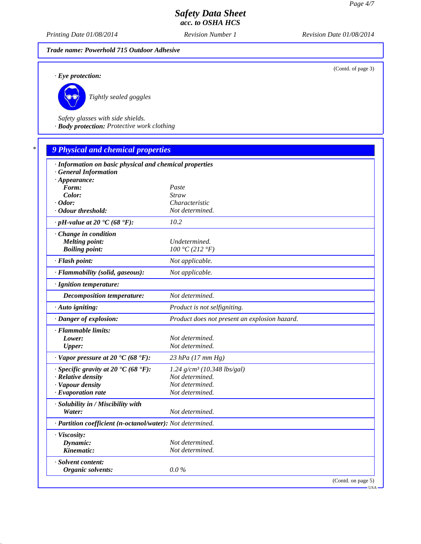(Contd. of page 3)

## *Safety Data Sheet acc. to OSHA HCS*

*Printing Date 01/08/2014 Revision Number 1 Revision Date 01/08/2014*

*Trade name: Powerhold 715 Outdoor Adhesive*

*· Eye protection:*



*Tightly sealed goggles*

*Safety glasses with side shields. · Body protection: Protective work clothing*

# *\* 9 Physical and chemical properties · Information on basic physical and chemical properties · General Information · Appearance: Form: Paste Color: Straw · Odor: Characteristic · Odour threshold: Not determined. · pH-value at 20 °C (68 °F): 10.2 · Change in condition Melting point: Undetermined.*<br> **Boiling point:**  $100 °C (212 °F)$ *Boiling point: 100 °C (212 °F) · Flash point: Not applicable. · Flammability (solid, gaseous): Not applicable. · Ignition temperature: Decomposition temperature: Not determined. · Auto igniting: Product is not selfigniting. · Danger of explosion: Product does not present an explosion hazard. · Flammable limits: Lower: Not determined. Upper: Not determined. · Vapor pressure at 20 °C (68 °F): 23 hPa (17 mm Hg) · Specific gravity at 20 °C (68 °F): 1.24 g/cm³ (10.348 lbs/gal) · Relative density Not determined. · Vapour density Not determined.*  $\cdot$  *Evaporation rate · Solubility in / Miscibility with Water: Not determined. · Partition coefficient (n-octanol/water): Not determined. · Viscosity: Dynamic: Not determined. Kinematic: Not determined. · Solvent content: Organic solvents: 0.0 %* (Contd. on page 5)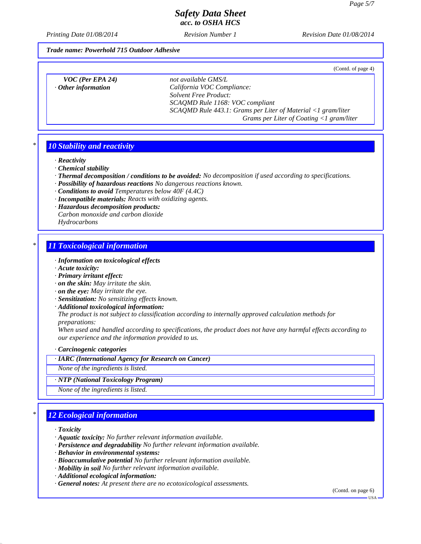(Contd. of page 4)

## *Safety Data Sheet acc. to OSHA HCS*

*Printing Date 01/08/2014 Revision Number 1 Revision Date 01/08/2014*

#### *Trade name: Powerhold 715 Outdoor Adhesive*

*VOC (Per EPA 24) not available GMS/L · Other information California VOC Compliance: Solvent Free Product: SCAQMD Rule 1168: VOC compliant SCAQMD Rule 443.1: Grams per Liter of Material <1 gram/liter Grams per Liter of Coating <1 gram/liter*

### *\* 10 Stability and reactivity*

*· Reactivity*

*· Chemical stability*

- *· Thermal decomposition / conditions to be avoided: No decomposition if used according to specifications.*
- *· Possibility of hazardous reactions No dangerous reactions known.*
- *· Conditions to avoid Temperatures below 40F (4.4C)*
- *· Incompatible materials: Reacts with oxidizing agents.*
- *· Hazardous decomposition products: Carbon monoxide and carbon dioxide*

*Hydrocarbons*

### *\* 11 Toxicological information*

- *· Information on toxicological effects*
- *· Acute toxicity:*
- *· Primary irritant effect:*
- *· on the skin: May irritate the skin.*
- *· on the eye: May irritate the eye.*
- *· Sensitization: No sensitizing effects known.*
- *· Additional toxicological information:*

*The product is not subject to classification according to internally approved calculation methods for preparations:*

*When used and handled according to specifications, the product does not have any harmful effects according to our experience and the information provided to us.*

*· Carcinogenic categories*

### *· IARC (International Agency for Research on Cancer)*

*None of the ingredients is listed.*

*· NTP (National Toxicology Program)*

*None of the ingredients is listed.*

## *\* 12 Ecological information*

*· Toxicity*

- *· Aquatic toxicity: No further relevant information available.*
- *· Persistence and degradability No further relevant information available.*
- *· Behavior in environmental systems:*
- *· Bioaccumulative potential No further relevant information available.*
- *· Mobility in soil No further relevant information available.*
- *· Additional ecological information:*
- *· General notes: At present there are no ecotoxicological assessments.*

(Contd. on page 6)

USA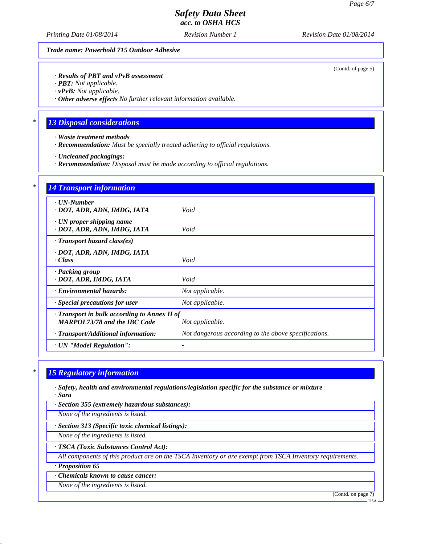*Printing Date 01/08/2014 Revision Number 1 Revision Date 01/08/2014*

*Trade name: Powerhold 715 Outdoor Adhesive*

(Contd. of page 5)

*· Results of PBT and vPvB assessment*

*· PBT: Not applicable.*

*· vPvB: Not applicable.*

*· Other adverse effects No further relevant information available.*

## *\* 13 Disposal considerations*

- *· Waste treatment methods*
- *· Recommendation: Must be specially treated adhering to official regulations.*
- *· Uncleaned packagings:*
- *· Recommendation: Disposal must be made according to official regulations.*

| $\cdot$ UN-Number<br>· DOT, ADR, ADN, IMDG, IATA                                          | Void                                                 |
|-------------------------------------------------------------------------------------------|------------------------------------------------------|
| · UN proper shipping name<br>· DOT, ADR, ADN, IMDG, IATA                                  | Void                                                 |
| $\cdot$ Transport hazard class(es)                                                        |                                                      |
| · DOT, ADR, ADN, IMDG, IATA<br>· Class                                                    | Void                                                 |
| · Packing group<br>· DOT, ADR, IMDG, IATA                                                 | Void                                                 |
| · Environmental hazards:                                                                  | Not applicable.                                      |
| $\cdot$ Special precautions for user                                                      | Not applicable.                                      |
| $\cdot$ Transport in bulk according to Annex II of<br><b>MARPOL73/78 and the IBC Code</b> | Not applicable.                                      |
| · Transport/Additional information:                                                       | Not dangerous according to the above specifications. |

### *\* 15 Regulatory information*

- *· Safety, health and environmental regulations/legislation specific for the substance or mixture · Sara*
- *· Section 355 (extremely hazardous substances):*

*None of the ingredients is listed.*

*· Section 313 (Specific toxic chemical listings):*

*None of the ingredients is listed.*

#### *· TSCA (Toxic Substances Control Act):*

*All components of this product are on the TSCA Inventory or are exempt from TSCA Inventory requirements.*

### *· Proposition 65*

*· Chemicals known to cause cancer:*

*None of the ingredients is listed.*

(Contd. on page 7)

USA